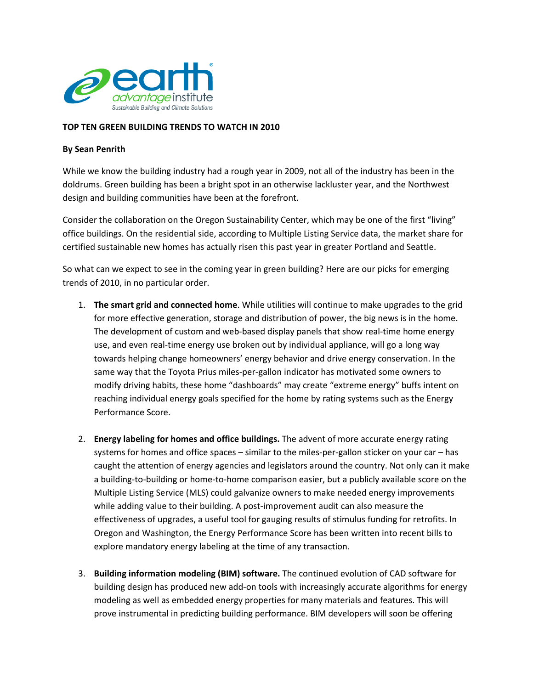

## TOP TEN GREEN BUILDING TRENDS TO WATCH IN 2010

## By Sean Penrith

While we know the building industry had a rough year in 2009, not all of the industry has been in the doldrums. Green building has been a bright spot in an otherwise lackluster year, and the Northwest design and building communities have been at the forefront.

Consider the collaboration on the Oregon Sustainability Center, which may be one of the first "living" office buildings. On the residential side, according to Multiple Listing Service data, the market share for certified sustainable new homes has actually risen this past year in greater Portland and Seattle.

So what can we expect to see in the coming year in green building? Here are our picks for emerging trends of 2010, in no particular order.

- 1. The smart grid and connected home. While utilities will continue to make upgrades to the grid for more effective generation, storage and distribution of power, the big news is in the home. The development of custom and web-based display panels that show real-time home energy use, and even real-time energy use broken out by individual appliance, will go a long way towards helping change homeowners' energy behavior and drive energy conservation. In the same way that the Toyota Prius miles-per-gallon indicator has motivated some owners to modify driving habits, these home "dashboards" may create "extreme energy" buffs intent on reaching individual energy goals specified for the home by rating systems such as the Energy Performance Score.
- 2. Energy labeling for homes and office buildings. The advent of more accurate energy rating systems for homes and office spaces – similar to the miles-per-gallon sticker on your car – has caught the attention of energy agencies and legislators around the country. Not only can it make a building-to-building or home-to-home comparison easier, but a publicly available score on the Multiple Listing Service (MLS) could galvanize owners to make needed energy improvements while adding value to their building. A post-improvement audit can also measure the effectiveness of upgrades, a useful tool for gauging results of stimulus funding for retrofits. In Oregon and Washington, the Energy Performance Score has been written into recent bills to explore mandatory energy labeling at the time of any transaction.
- 3. Building information modeling (BIM) software. The continued evolution of CAD software for building design has produced new add-on tools with increasingly accurate algorithms for energy modeling as well as embedded energy properties for many materials and features. This will prove instrumental in predicting building performance. BIM developers will soon be offering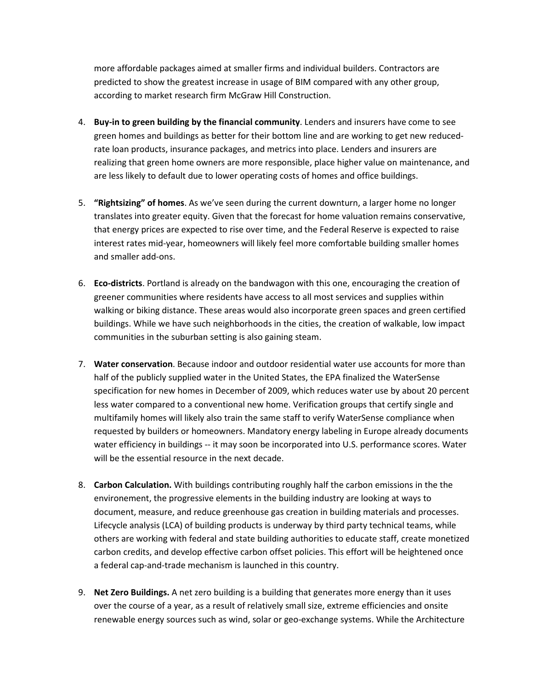more affordable packages aimed at smaller firms and individual builders. Contractors are predicted to show the greatest increase in usage of BIM compared with any other group, according to market research firm McGraw Hill Construction.

- 4. Buy-in to green building by the financial community. Lenders and insurers have come to see green homes and buildings as better for their bottom line and are working to get new reducedrate loan products, insurance packages, and metrics into place. Lenders and insurers are realizing that green home owners are more responsible, place higher value on maintenance, and are less likely to default due to lower operating costs of homes and office buildings.
- 5. **"Rightsizing" of homes**. As we've seen during the current downturn, a larger home no longer translates into greater equity. Given that the forecast for home valuation remains conservative, that energy prices are expected to rise over time, and the Federal Reserve is expected to raise interest rates mid-year, homeowners will likely feel more comfortable building smaller homes and smaller add-ons.
- 6. Eco-districts. Portland is already on the bandwagon with this one, encouraging the creation of greener communities where residents have access to all most services and supplies within walking or biking distance. These areas would also incorporate green spaces and green certified buildings. While we have such neighborhoods in the cities, the creation of walkable, low impact communities in the suburban setting is also gaining steam.
- 7. Water conservation. Because indoor and outdoor residential water use accounts for more than half of the publicly supplied water in the United States, the EPA finalized the WaterSense specification for new homes in December of 2009, which reduces water use by about 20 percent less water compared to a conventional new home. Verification groups that certify single and multifamily homes will likely also train the same staff to verify WaterSense compliance when requested by builders or homeowners. Mandatory energy labeling in Europe already documents water efficiency in buildings -- it may soon be incorporated into U.S. performance scores. Water will be the essential resource in the next decade.
- 8. Carbon Calculation. With buildings contributing roughly half the carbon emissions in the the environement, the progressive elements in the building industry are looking at ways to document, measure, and reduce greenhouse gas creation in building materials and processes. Lifecycle analysis (LCA) of building products is underway by third party technical teams, while others are working with federal and state building authorities to educate staff, create monetized carbon credits, and develop effective carbon offset policies. This effort will be heightened once a federal cap-and-trade mechanism is launched in this country.
- 9. Net Zero Buildings. A net zero building is a building that generates more energy than it uses over the course of a year, as a result of relatively small size, extreme efficiencies and onsite renewable energy sources such as wind, solar or geo-exchange systems. While the Architecture